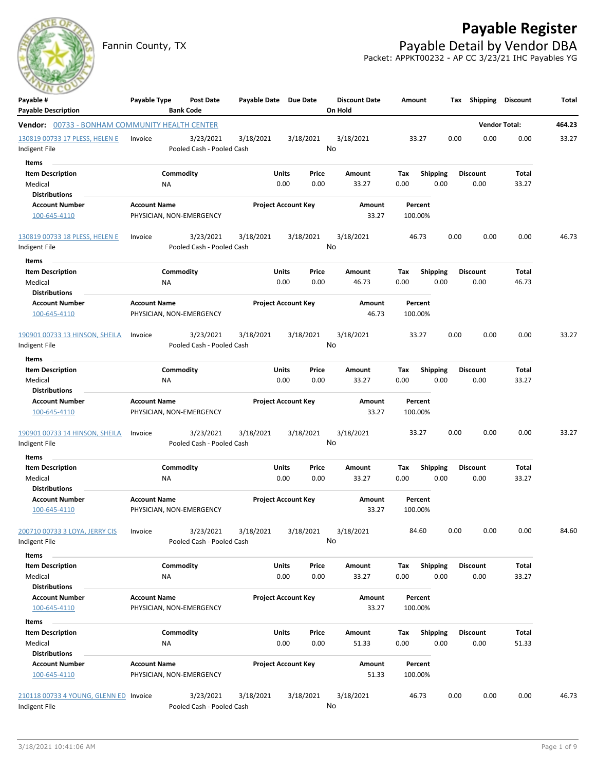# **Payable Register**

Fannin County, TX **Payable Detail by Vendor DBA** Packet: APPKT00232 - AP CC 3/23/21 IHC Payables YG



| Payable #                                             | Payable Type        | <b>Post Date</b>                       |           | Payable Date Due Date      |       | <b>Discount Date</b> | Amount             |                 | Тах  | Shipping        | Discount             | Total  |
|-------------------------------------------------------|---------------------|----------------------------------------|-----------|----------------------------|-------|----------------------|--------------------|-----------------|------|-----------------|----------------------|--------|
| <b>Payable Description</b>                            |                     | <b>Bank Code</b>                       |           |                            |       | On Hold              |                    |                 |      |                 |                      |        |
| <b>Vendor:</b> 00733 - BONHAM COMMUNITY HEALTH CENTER |                     |                                        |           |                            |       |                      |                    |                 |      |                 | <b>Vendor Total:</b> | 464.23 |
| 130819 00733 17 PLESS, HELEN E<br>Indigent File       | Invoice             | 3/23/2021<br>Pooled Cash - Pooled Cash | 3/18/2021 | 3/18/2021                  | No    | 3/18/2021            | 33.27              |                 | 0.00 | 0.00            | 0.00                 | 33.27  |
| Items                                                 |                     |                                        |           |                            |       |                      |                    |                 |      |                 |                      |        |
| <b>Item Description</b>                               |                     | Commodity                              |           | Units                      | Price | Amount               | Tax                | <b>Shipping</b> |      | <b>Discount</b> | Total                |        |
| Medical                                               | ΝA                  |                                        |           | 0.00                       | 0.00  | 33.27                | 0.00               | 0.00            |      | 0.00            | 33.27                |        |
| <b>Distributions</b>                                  |                     |                                        |           |                            |       |                      |                    |                 |      |                 |                      |        |
| <b>Account Number</b>                                 | <b>Account Name</b> |                                        |           | <b>Project Account Key</b> |       | Amount               | Percent            |                 |      |                 |                      |        |
| 100-645-4110                                          |                     | PHYSICIAN, NON-EMERGENCY               |           |                            |       | 33.27                | 100.00%            |                 |      |                 |                      |        |
| 130819 00733 18 PLESS, HELEN E                        | Invoice             | 3/23/2021                              | 3/18/2021 | 3/18/2021                  | No    | 3/18/2021            | 46.73              |                 | 0.00 | 0.00            | 0.00                 | 46.73  |
| Indigent File                                         |                     | Pooled Cash - Pooled Cash              |           |                            |       |                      |                    |                 |      |                 |                      |        |
| Items                                                 |                     |                                        |           |                            |       |                      |                    |                 |      |                 |                      |        |
| <b>Item Description</b>                               |                     | Commodity                              |           | Units                      | Price | Amount               | Tax                | Shipping        |      | <b>Discount</b> | Total                |        |
| Medical                                               | ΝA                  |                                        |           | 0.00                       | 0.00  | 46.73                | 0.00               | 0.00            |      | 0.00            | 46.73                |        |
| <b>Distributions</b>                                  |                     |                                        |           |                            |       |                      |                    |                 |      |                 |                      |        |
| <b>Account Number</b><br>100-645-4110                 | <b>Account Name</b> | PHYSICIAN, NON-EMERGENCY               |           | <b>Project Account Key</b> |       | Amount<br>46.73      | Percent<br>100.00% |                 |      |                 |                      |        |
| 190901 00733 13 HINSON, SHEILA                        | Invoice             | 3/23/2021                              | 3/18/2021 | 3/18/2021                  |       | 3/18/2021            | 33.27              |                 | 0.00 | 0.00            | 0.00                 | 33.27  |
| Indigent File                                         |                     | Pooled Cash - Pooled Cash              |           |                            | No    |                      |                    |                 |      |                 |                      |        |
| Items                                                 |                     |                                        |           |                            |       |                      |                    |                 |      |                 |                      |        |
| <b>Item Description</b>                               |                     | Commodity                              |           | Units                      | Price | Amount               | Tax                | <b>Shipping</b> |      | <b>Discount</b> | Total                |        |
| Medical                                               | ΝA                  |                                        |           | 0.00                       | 0.00  | 33.27                | 0.00               | 0.00            |      | 0.00            | 33.27                |        |
| <b>Distributions</b>                                  |                     |                                        |           |                            |       |                      |                    |                 |      |                 |                      |        |
| <b>Account Number</b>                                 | <b>Account Name</b> |                                        |           | <b>Project Account Key</b> |       | Amount               | Percent            |                 |      |                 |                      |        |
| 100-645-4110                                          |                     | PHYSICIAN, NON-EMERGENCY               |           |                            |       | 33.27                | 100.00%            |                 |      |                 |                      |        |
| 190901 00733 14 HINSON, SHEILA                        | Invoice             | 3/23/2021                              | 3/18/2021 | 3/18/2021                  |       | 3/18/2021            | 33.27              |                 | 0.00 | 0.00            | 0.00                 | 33.27  |
| Indigent File                                         |                     | Pooled Cash - Pooled Cash              |           |                            | No    |                      |                    |                 |      |                 |                      |        |
| Items                                                 |                     |                                        |           |                            |       |                      |                    |                 |      |                 |                      |        |
| <b>Item Description</b>                               |                     | Commodity                              |           | Units                      | Price | Amount               | Tax                | <b>Shipping</b> |      | Discount        | Total                |        |
| Medical                                               | ΝA                  |                                        |           | 0.00                       | 0.00  | 33.27                | 0.00               | 0.00            |      | 0.00            | 33.27                |        |
| <b>Distributions</b>                                  |                     |                                        |           |                            |       |                      |                    |                 |      |                 |                      |        |
| <b>Account Number</b>                                 | <b>Account Name</b> |                                        |           | <b>Project Account Key</b> |       | Amount               | Percent            |                 |      |                 |                      |        |
| 100-645-4110                                          |                     | PHYSICIAN, NON-EMERGENCY               |           |                            |       | 33.27                | 100.00%            |                 |      |                 |                      |        |
| 200710 00733 3 LOYA, JERRY CIS                        | Invoice             | 3/23/2021                              | 3/18/2021 | 3/18/2021                  |       | 3/18/2021            | 84.60              |                 | 0.00 | 0.00            | 0.00                 | 84.60  |
| Indigent File                                         |                     | Pooled Cash - Pooled Cash              |           |                            | No    |                      |                    |                 |      |                 |                      |        |
| Items                                                 |                     |                                        |           |                            |       |                      |                    |                 |      |                 |                      |        |
| <b>Item Description</b>                               |                     | Commodity                              |           | Units                      | Price | Amount               | Tax                | Shipping        |      | <b>Discount</b> | Total                |        |
| Medical                                               | NA                  |                                        |           | 0.00                       | 0.00  | 33.27                | 0.00               | 0.00            |      | 0.00            | 33.27                |        |
| <b>Distributions</b>                                  |                     |                                        |           |                            |       |                      |                    |                 |      |                 |                      |        |
| <b>Account Number</b>                                 | <b>Account Name</b> |                                        |           | <b>Project Account Key</b> |       | Amount               | Percent            |                 |      |                 |                      |        |
| 100-645-4110                                          |                     | PHYSICIAN, NON-EMERGENCY               |           |                            |       | 33.27                | 100.00%            |                 |      |                 |                      |        |
| Items                                                 |                     |                                        |           |                            |       |                      |                    |                 |      |                 |                      |        |
| <b>Item Description</b>                               |                     | Commodity                              |           | Units                      | Price | Amount               | Tax                | Shipping        |      | Discount        | Total                |        |
| Medical                                               | NA                  |                                        |           | 0.00                       | 0.00  | 51.33                | 0.00               | 0.00            |      | 0.00            | 51.33                |        |
| <b>Distributions</b>                                  |                     |                                        |           |                            |       |                      |                    |                 |      |                 |                      |        |
| <b>Account Number</b>                                 | <b>Account Name</b> |                                        |           | <b>Project Account Key</b> |       | Amount               | Percent            |                 |      |                 |                      |        |
| 100-645-4110                                          |                     | PHYSICIAN, NON-EMERGENCY               |           |                            |       | 51.33                | 100.00%            |                 |      |                 |                      |        |
| 210118 00733 4 YOUNG, GLENN ED Invoice                |                     | 3/23/2021                              | 3/18/2021 | 3/18/2021                  |       | 3/18/2021            | 46.73              |                 | 0.00 | 0.00            | 0.00                 | 46.73  |
| Indigent File                                         |                     | Pooled Cash - Pooled Cash              |           |                            | No    |                      |                    |                 |      |                 |                      |        |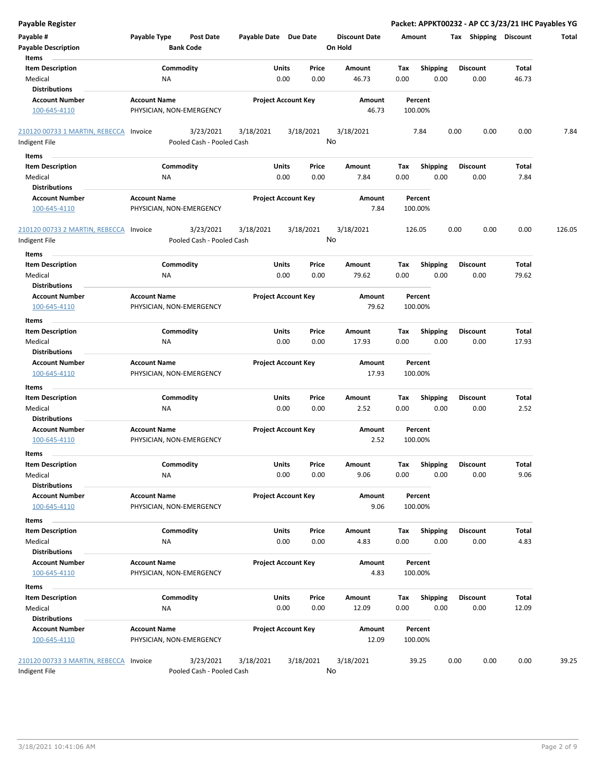| <b>Payable Register</b>                |                                  |                                  |                            |                      |         |                 | Packet: APPKT00232 - AP CC 3/23/21 IHC Payables YG |       |        |
|----------------------------------------|----------------------------------|----------------------------------|----------------------------|----------------------|---------|-----------------|----------------------------------------------------|-------|--------|
| Payable #                              | Payable Type<br><b>Post Date</b> |                                  | Payable Date Due Date      | <b>Discount Date</b> | Amount  |                 | Tax Shipping Discount                              |       | Total  |
| <b>Payable Description</b>             | <b>Bank Code</b>                 |                                  |                            | On Hold              |         |                 |                                                    |       |        |
| Items                                  |                                  |                                  |                            |                      |         |                 |                                                    |       |        |
| <b>Item Description</b>                | Commodity                        |                                  | Units<br>Price             | Amount               | Tax     | <b>Shipping</b> | <b>Discount</b>                                    | Total |        |
| Medical                                | NA                               |                                  | 0.00<br>0.00               | 46.73                | 0.00    | 0.00            | 0.00                                               | 46.73 |        |
| <b>Distributions</b>                   |                                  |                                  |                            |                      |         |                 |                                                    |       |        |
| <b>Account Number</b>                  | <b>Account Name</b>              |                                  | <b>Project Account Key</b> | Amount               |         | Percent         |                                                    |       |        |
| 100-645-4110                           | PHYSICIAN, NON-EMERGENCY         |                                  |                            | 46.73                | 100.00% |                 |                                                    |       |        |
|                                        |                                  |                                  |                            |                      |         |                 |                                                    |       |        |
| 210120 00733 1 MARTIN, REBECCA Invoice | 3/23/2021                        | 3/18/2021                        | 3/18/2021                  | 3/18/2021            |         | 7.84            | 0.00<br>0.00                                       | 0.00  | 7.84   |
| Indigent File                          | Pooled Cash - Pooled Cash        |                                  |                            | No                   |         |                 |                                                    |       |        |
|                                        |                                  |                                  |                            |                      |         |                 |                                                    |       |        |
| Items                                  |                                  |                                  |                            |                      |         |                 |                                                    |       |        |
| <b>Item Description</b>                | Commodity                        |                                  | Units<br>Price             | Amount               | Tax     | Shipping        | Discount                                           | Total |        |
| Medical                                | ΝA                               |                                  | 0.00<br>0.00               | 7.84                 | 0.00    | 0.00            | 0.00                                               | 7.84  |        |
| <b>Distributions</b>                   |                                  |                                  |                            |                      |         |                 |                                                    |       |        |
| <b>Account Number</b>                  | <b>Account Name</b>              |                                  | <b>Project Account Key</b> | Amount               |         | Percent         |                                                    |       |        |
| 100-645-4110                           |                                  | PHYSICIAN, NON-EMERGENCY<br>7.84 |                            | 100.00%              |         |                 |                                                    |       |        |
| 210120 00733 2 MARTIN, REBECCA         | 3/23/2021<br>Invoice             | 3/18/2021                        | 3/18/2021                  | 3/18/2021            | 126.05  |                 | 0.00<br>0.00                                       | 0.00  | 126.05 |
| Indigent File                          | Pooled Cash - Pooled Cash        |                                  |                            | No                   |         |                 |                                                    |       |        |
| Items                                  |                                  |                                  |                            |                      |         |                 |                                                    |       |        |
| <b>Item Description</b>                | Commodity                        |                                  | Units<br>Price             | Amount               | Tax     | <b>Shipping</b> | Discount                                           | Total |        |
| Medical                                | NA                               |                                  | 0.00<br>0.00               | 79.62                | 0.00    | 0.00            | 0.00                                               | 79.62 |        |
| <b>Distributions</b>                   |                                  |                                  |                            |                      |         |                 |                                                    |       |        |
| <b>Account Number</b>                  | <b>Account Name</b>              |                                  | <b>Project Account Key</b> | Amount               |         | Percent         |                                                    |       |        |
|                                        |                                  |                                  |                            | 79.62                |         |                 |                                                    |       |        |
| 100-645-4110                           | PHYSICIAN, NON-EMERGENCY         |                                  |                            |                      | 100.00% |                 |                                                    |       |        |
| Items                                  |                                  |                                  |                            |                      |         |                 |                                                    |       |        |
| <b>Item Description</b>                | Commodity                        |                                  | Units<br>Price             | Amount               | Tax     | <b>Shipping</b> | <b>Discount</b>                                    | Total |        |
| Medical                                | NA                               |                                  | 0.00<br>0.00               | 17.93                | 0.00    | 0.00            | 0.00                                               | 17.93 |        |
| <b>Distributions</b>                   |                                  |                                  |                            |                      |         |                 |                                                    |       |        |
| <b>Account Number</b>                  | <b>Account Name</b>              |                                  | <b>Project Account Key</b> | Amount               |         | Percent         |                                                    |       |        |
| 100-645-4110                           | PHYSICIAN, NON-EMERGENCY         |                                  |                            | 17.93                | 100.00% |                 |                                                    |       |        |
| Items                                  |                                  |                                  |                            |                      |         |                 |                                                    |       |        |
| <b>Item Description</b>                | Commodity                        |                                  | Units<br>Price             | Amount               | Tax     | <b>Shipping</b> | Discount                                           | Total |        |
| Medical                                | NA                               |                                  | 0.00<br>0.00               | 2.52                 | 0.00    | 0.00            | 0.00                                               | 2.52  |        |
| <b>Distributions</b>                   |                                  |                                  |                            |                      |         |                 |                                                    |       |        |
| <b>Account Number</b>                  | <b>Account Name</b>              |                                  | <b>Project Account Key</b> | Amount               |         | Percent         |                                                    |       |        |
|                                        |                                  |                                  |                            | 2.52                 | 100.00% |                 |                                                    |       |        |
| 100-645-4110                           | PHYSICIAN, NON-EMERGENCY         |                                  |                            |                      |         |                 |                                                    |       |        |
| ltems                                  |                                  |                                  |                            |                      |         |                 |                                                    |       |        |
| <b>Item Description</b>                | Commodity                        |                                  | Units<br>Price             | Amount               | Tax     | Shipping        | Discount                                           | Total |        |
| Medical                                | NA                               |                                  | 0.00<br>0.00               | 9.06                 | 0.00    | 0.00            | 0.00                                               | 9.06  |        |
| <b>Distributions</b>                   |                                  |                                  |                            |                      |         |                 |                                                    |       |        |
| <b>Account Number</b>                  | <b>Account Name</b>              |                                  | <b>Project Account Key</b> | Amount               |         | Percent         |                                                    |       |        |
| 100-645-4110                           | PHYSICIAN, NON-EMERGENCY         |                                  |                            | 9.06                 | 100.00% |                 |                                                    |       |        |
| Items                                  |                                  |                                  |                            |                      |         |                 |                                                    |       |        |
| <b>Item Description</b>                | Commodity                        |                                  | Units<br>Price             | Amount               | Tax     | Shipping        | Discount                                           | Total |        |
| Medical                                | ΝA                               |                                  | 0.00<br>0.00               | 4.83                 | 0.00    | 0.00            | 0.00                                               | 4.83  |        |
| <b>Distributions</b>                   |                                  |                                  |                            |                      |         |                 |                                                    |       |        |
| <b>Account Number</b>                  | <b>Account Name</b>              |                                  | <b>Project Account Key</b> | Amount               |         | Percent         |                                                    |       |        |
| 100-645-4110                           | PHYSICIAN, NON-EMERGENCY         |                                  |                            | 4.83                 | 100.00% |                 |                                                    |       |        |
|                                        |                                  |                                  |                            |                      |         |                 |                                                    |       |        |
| Items                                  |                                  |                                  |                            |                      |         |                 |                                                    |       |        |
| <b>Item Description</b>                | Commodity                        |                                  | Units<br>Price             | Amount               | Tax     | <b>Shipping</b> | Discount                                           | Total |        |
| Medical                                | ΝA                               |                                  | 0.00<br>0.00               | 12.09                | 0.00    | 0.00            | 0.00                                               | 12.09 |        |
| <b>Distributions</b>                   |                                  |                                  |                            |                      |         |                 |                                                    |       |        |
| <b>Account Number</b>                  | <b>Account Name</b>              |                                  | <b>Project Account Key</b> | Amount               |         | Percent         |                                                    |       |        |
| 100-645-4110                           | PHYSICIAN, NON-EMERGENCY         |                                  |                            | 12.09                | 100.00% |                 |                                                    |       |        |
| 210120 00733 3 MARTIN, REBECCA Invoice | 3/23/2021                        | 3/18/2021                        | 3/18/2021                  | 3/18/2021            |         | 39.25           | 0.00<br>0.00                                       | 0.00  | 39.25  |
| Indigent File                          | Pooled Cash - Pooled Cash        |                                  |                            | No                   |         |                 |                                                    |       |        |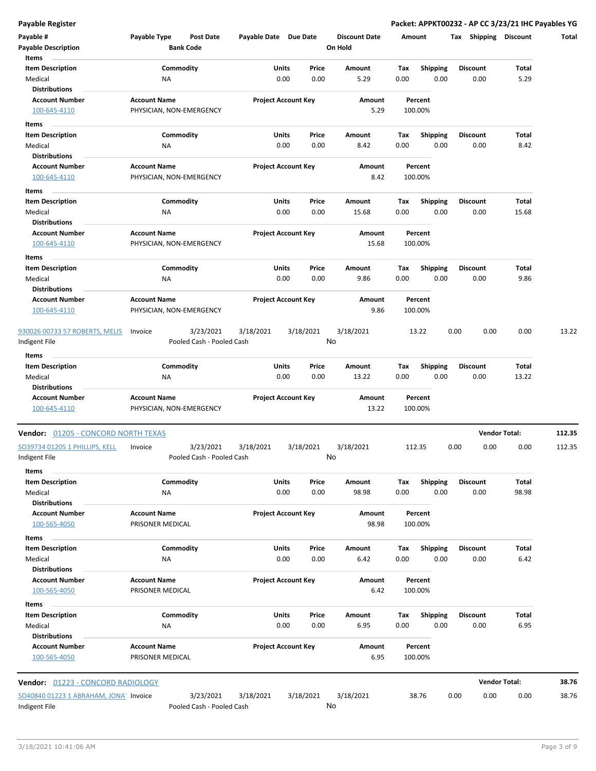**Payable Register Packet: APPKT00232 - AP CC 3/23/21 IHC Payables YG**

| Payable #<br><b>Payable Description</b>         | Payable Type                                    | <b>Post Date</b><br><b>Bank Code</b>   | Payable Date Due Date      |               |               | <b>Discount Date</b><br>On Hold | Amount      |                         | Tax Shipping            | <b>Discount</b>      | Total  |
|-------------------------------------------------|-------------------------------------------------|----------------------------------------|----------------------------|---------------|---------------|---------------------------------|-------------|-------------------------|-------------------------|----------------------|--------|
| Items                                           |                                                 |                                        |                            |               |               |                                 |             |                         |                         |                      |        |
| <b>Item Description</b><br>Medical              | ΝA                                              | Commodity                              |                            | Units<br>0.00 | Price<br>0.00 | Amount<br>5.29                  | Tax<br>0.00 | <b>Shipping</b><br>0.00 | <b>Discount</b><br>0.00 | Total<br>5.29        |        |
| <b>Distributions</b>                            |                                                 |                                        |                            |               |               |                                 |             |                         |                         |                      |        |
| <b>Account Number</b>                           | <b>Account Name</b>                             |                                        | <b>Project Account Key</b> |               |               | Amount                          |             | Percent                 |                         |                      |        |
| 100-645-4110                                    | PHYSICIAN, NON-EMERGENCY                        |                                        |                            |               |               | 5.29                            |             | 100.00%                 |                         |                      |        |
| Items                                           |                                                 |                                        |                            |               |               |                                 |             |                         |                         |                      |        |
| <b>Item Description</b>                         |                                                 | Commodity                              |                            | Units         | Price         | Amount                          | Tax         | <b>Shipping</b>         | <b>Discount</b>         | Total                |        |
| Medical                                         | ΝA                                              |                                        |                            | 0.00          | 0.00          | 8.42                            | 0.00        | 0.00                    | 0.00                    | 8.42                 |        |
| <b>Distributions</b>                            |                                                 |                                        |                            |               |               |                                 |             |                         |                         |                      |        |
| <b>Account Number</b><br>100-645-4110           | <b>Account Name</b><br>PHYSICIAN, NON-EMERGENCY |                                        | <b>Project Account Key</b> |               |               | Amount<br>8.42                  |             | Percent<br>100.00%      |                         |                      |        |
|                                                 |                                                 |                                        |                            |               |               |                                 |             |                         |                         |                      |        |
| Items<br><b>Item Description</b>                |                                                 | Commodity                              |                            | Units         | Price         | Amount                          | Tax         | <b>Shipping</b>         | <b>Discount</b>         | Total                |        |
| Medical                                         | ΝA                                              |                                        |                            | 0.00          | 0.00          | 15.68                           | 0.00        | 0.00                    | 0.00                    | 15.68                |        |
| <b>Distributions</b>                            |                                                 |                                        |                            |               |               |                                 |             |                         |                         |                      |        |
| <b>Account Number</b>                           | <b>Account Name</b>                             |                                        | <b>Project Account Key</b> |               |               | Amount                          |             | Percent                 |                         |                      |        |
| 100-645-4110                                    | PHYSICIAN, NON-EMERGENCY                        |                                        |                            |               |               | 15.68                           |             | 100.00%                 |                         |                      |        |
| Items                                           |                                                 |                                        |                            |               |               |                                 |             |                         |                         |                      |        |
| <b>Item Description</b>                         |                                                 | Commodity                              |                            | Units         | Price         | Amount                          | Tax         | <b>Shipping</b>         | <b>Discount</b>         | Total                |        |
| Medical                                         | ΝA                                              |                                        |                            | 0.00          | 0.00          | 9.86                            | 0.00        | 0.00                    | 0.00                    | 9.86                 |        |
| <b>Distributions</b>                            |                                                 |                                        |                            |               |               |                                 |             |                         |                         |                      |        |
| <b>Account Number</b>                           | <b>Account Name</b>                             |                                        | <b>Project Account Key</b> |               |               | Amount                          |             | Percent                 |                         |                      |        |
| 100-645-4110                                    | PHYSICIAN, NON-EMERGENCY                        |                                        |                            |               |               | 9.86                            |             | 100.00%                 |                         |                      |        |
| 930026 00733 57 ROBERTS, MELIS<br>Indigent File | Invoice                                         | 3/23/2021<br>Pooled Cash - Pooled Cash | 3/18/2021                  | 3/18/2021     | No            | 3/18/2021                       |             | 13.22                   | 0.00<br>0.00            | 0.00                 | 13.22  |
| Items                                           |                                                 |                                        |                            |               |               |                                 |             |                         |                         |                      |        |
| <b>Item Description</b>                         |                                                 | Commodity                              |                            | Units         | Price         | Amount                          | Tax         | <b>Shipping</b>         | <b>Discount</b>         | Total                |        |
| Medical                                         | ΝA                                              |                                        |                            | 0.00          | 0.00          | 13.22                           | 0.00        | 0.00                    | 0.00                    | 13.22                |        |
| <b>Distributions</b>                            |                                                 |                                        |                            |               |               |                                 |             |                         |                         |                      |        |
| <b>Account Number</b><br>100-645-4110           | <b>Account Name</b><br>PHYSICIAN, NON-EMERGENCY |                                        | <b>Project Account Key</b> |               |               | Amount<br>13.22                 |             | Percent<br>100.00%      |                         |                      |        |
| <b>Vendor:</b> 01205 - CONCORD NORTH TEXAS      |                                                 |                                        |                            |               |               |                                 |             |                         |                         | <b>Vendor Total:</b> | 112.35 |
| SO39734 01205 1 PHILLIPS, KELL                  | Invoice                                         | 3/23/2021                              | 3/18/2021                  | 3/18/2021     |               | 3/18/2021                       |             | 112.35                  | 0.00<br>0.00            | 0.00                 | 112.35 |
| Indigent File                                   |                                                 | Pooled Cash - Pooled Cash              |                            |               | No            |                                 |             |                         |                         |                      |        |
| Items                                           |                                                 |                                        |                            |               |               |                                 |             |                         |                         |                      |        |
| <b>Item Description</b>                         |                                                 | Commodity                              |                            | Units         | Price         | Amount                          | Tax         | <b>Shipping</b>         | <b>Discount</b>         | Total                |        |
| Medical                                         | ΝA                                              |                                        |                            | 0.00          | 0.00          | 98.98                           | 0.00        | 0.00                    | 0.00                    | 98.98                |        |
| <b>Distributions</b>                            |                                                 |                                        |                            |               |               |                                 |             |                         |                         |                      |        |
| <b>Account Number</b>                           | <b>Account Name</b>                             |                                        | <b>Project Account Key</b> |               |               | Amount                          |             | Percent                 |                         |                      |        |
| 100-565-4050                                    | PRISONER MEDICAL                                |                                        |                            |               |               | 98.98                           |             | 100.00%                 |                         |                      |        |
| Items                                           |                                                 |                                        |                            |               |               |                                 |             |                         |                         |                      |        |
| <b>Item Description</b>                         |                                                 | Commodity                              |                            | Units         | Price         | Amount                          | Tax         | <b>Shipping</b>         | <b>Discount</b>         | Total                |        |
| Medical                                         | ΝA                                              |                                        |                            | 0.00          | 0.00          | 6.42                            | 0.00        | 0.00                    | 0.00                    | 6.42                 |        |
| <b>Distributions</b>                            |                                                 |                                        | <b>Project Account Key</b> |               |               |                                 |             |                         |                         |                      |        |
| <b>Account Number</b><br>100-565-4050           | <b>Account Name</b><br>PRISONER MEDICAL         |                                        |                            |               |               | Amount<br>6.42                  |             | Percent<br>100.00%      |                         |                      |        |
|                                                 |                                                 |                                        |                            |               |               |                                 |             |                         |                         |                      |        |
| Items                                           |                                                 |                                        |                            |               |               |                                 |             |                         |                         |                      |        |
| <b>Item Description</b><br>Medical              | ΝA                                              | Commodity                              |                            | Units<br>0.00 | Price<br>0.00 | Amount<br>6.95                  | Tax<br>0.00 | <b>Shipping</b><br>0.00 | <b>Discount</b><br>0.00 | Total<br>6.95        |        |
| <b>Distributions</b>                            |                                                 |                                        |                            |               |               |                                 |             |                         |                         |                      |        |
| <b>Account Number</b>                           | <b>Account Name</b>                             |                                        | <b>Project Account Key</b> |               |               | Amount                          |             | Percent                 |                         |                      |        |
| 100-565-4050                                    | PRISONER MEDICAL                                |                                        |                            |               |               | 6.95                            |             | 100.00%                 |                         |                      |        |
|                                                 |                                                 |                                        |                            |               |               |                                 |             |                         |                         |                      |        |
| Vendor: 01223 - CONCORD RADIOLOGY               |                                                 |                                        |                            |               |               |                                 |             |                         |                         | <b>Vendor Total:</b> | 38.76  |
| SO40840 01223 1 ABRAHAM, JONA Invoice           |                                                 | 3/23/2021                              | 3/18/2021                  | 3/18/2021     |               | 3/18/2021                       |             | 38.76                   | 0.00<br>0.00            | 0.00                 | 38.76  |
| Indigent File                                   |                                                 | Pooled Cash - Pooled Cash              |                            |               |               | No                              |             |                         |                         |                      |        |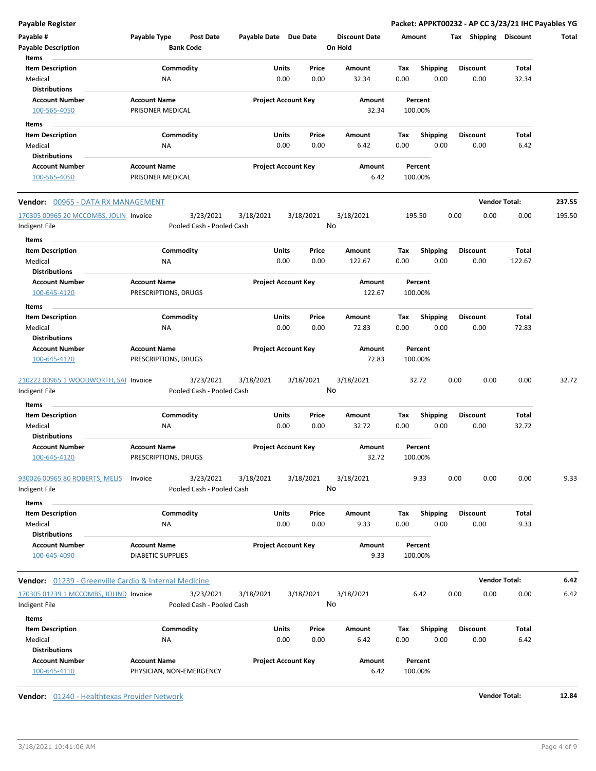**Payable Register Packet: APPKT00232 - AP CC 3/23/21 IHC Payables YG**

| Payable #<br><b>Payable Description</b><br>Items                    | Payable Type                                    | Post Date<br><b>Bank Code</b>          | Payable Date Due Date |                                | <b>Discount Date</b><br>On Hold | Amount      |                         | Shipping<br>Tax         | <b>Discount</b>      | Total  |
|---------------------------------------------------------------------|-------------------------------------------------|----------------------------------------|-----------------------|--------------------------------|---------------------------------|-------------|-------------------------|-------------------------|----------------------|--------|
| <b>Item Description</b><br>Medical                                  | <b>NA</b>                                       | Commodity                              |                       | Units<br>Price<br>0.00<br>0.00 | Amount<br>32.34                 | Tax<br>0.00 | <b>Shipping</b><br>0.00 | <b>Discount</b><br>0.00 | Total<br>32.34       |        |
| <b>Distributions</b><br><b>Account Number</b><br>100-565-4050       | <b>Account Name</b><br>PRISONER MEDICAL         |                                        |                       | <b>Project Account Key</b>     | Amount<br>32.34                 | 100.00%     | Percent                 |                         |                      |        |
| Items                                                               |                                                 |                                        |                       |                                |                                 |             |                         |                         |                      |        |
| <b>Item Description</b><br>Medical<br><b>Distributions</b>          | ΝA                                              | Commodity                              |                       | Units<br>Price<br>0.00<br>0.00 | Amount<br>6.42                  | Tax<br>0.00 | <b>Shipping</b><br>0.00 | <b>Discount</b><br>0.00 | Total<br>6.42        |        |
| <b>Account Number</b><br>100-565-4050                               | <b>Account Name</b><br>PRISONER MEDICAL         |                                        |                       | <b>Project Account Key</b>     | Amount<br>6.42                  | 100.00%     | Percent                 |                         |                      |        |
| <b>Vendor:</b> 00965 - DATA RX MANAGEMENT                           |                                                 |                                        |                       |                                |                                 |             |                         |                         | <b>Vendor Total:</b> | 237.55 |
| 170305 00965 20 MCCOMBS, JOLIN Invoice<br>Indigent File             |                                                 | 3/23/2021<br>Pooled Cash - Pooled Cash | 3/18/2021             | 3/18/2021                      | 3/18/2021<br>No                 | 195.50      |                         | 0.00<br>0.00            | 0.00                 | 195.50 |
| Items<br><b>Item Description</b><br>Medical<br><b>Distributions</b> | <b>NA</b>                                       | Commodity                              |                       | Units<br>Price<br>0.00<br>0.00 | Amount<br>122.67                | Tax<br>0.00 | Shipping<br>0.00        | <b>Discount</b><br>0.00 | Total<br>122.67      |        |
| <b>Account Number</b><br>100-645-4120                               | <b>Account Name</b><br>PRESCRIPTIONS, DRUGS     |                                        |                       | <b>Project Account Key</b>     | Amount<br>122.67                | 100.00%     | Percent                 |                         |                      |        |
| Items                                                               |                                                 |                                        |                       |                                |                                 |             |                         |                         |                      |        |
| <b>Item Description</b><br>Medical<br><b>Distributions</b>          | NA                                              | Commodity                              |                       | Units<br>Price<br>0.00<br>0.00 | Amount<br>72.83                 | Tax<br>0.00 | <b>Shipping</b><br>0.00 | <b>Discount</b><br>0.00 | Total<br>72.83       |        |
| <b>Account Number</b><br>100-645-4120                               | <b>Account Name</b><br>PRESCRIPTIONS, DRUGS     |                                        |                       | <b>Project Account Key</b>     | Amount<br>72.83                 | 100.00%     | Percent                 |                         |                      |        |
| 210222 00965 1 WOODWORTH, SAI Invoice<br>Indigent File              |                                                 | 3/23/2021<br>Pooled Cash - Pooled Cash | 3/18/2021             | 3/18/2021                      | 3/18/2021<br>No                 |             | 32.72                   | 0.00<br>0.00            | 0.00                 | 32.72  |
| Items                                                               |                                                 |                                        |                       |                                |                                 |             |                         |                         |                      |        |
| <b>Item Description</b><br>Medical<br><b>Distributions</b>          | <b>NA</b>                                       | Commodity                              |                       | Units<br>Price<br>0.00<br>0.00 | Amount<br>32.72                 | Tax<br>0.00 | Shipping<br>0.00        | Discount<br>0.00        | Total<br>32.72       |        |
| <b>Account Number</b><br>100-645-4120                               | <b>Account Name</b><br>PRESCRIPTIONS, DRUGS     |                                        |                       | <b>Project Account Key</b>     | Amount<br>32.72                 | 100.00%     | Percent                 |                         |                      |        |
| 930026 00965 80 ROBERTS, MELIS<br>Indigent File                     | Invoice                                         | 3/23/2021<br>Pooled Cash - Pooled Cash | 3/18/2021             | 3/18/2021                      | 3/18/2021<br>No                 |             | 9.33                    | 0.00<br>0.00            | 0.00                 | 9.33   |
| Items                                                               |                                                 |                                        |                       |                                |                                 |             |                         |                         |                      |        |
| <b>Item Description</b><br>Medical<br><b>Distributions</b>          | NA                                              | Commodity                              |                       | Units<br>Price<br>0.00<br>0.00 | Amount<br>9.33                  | Tax<br>0.00 | <b>Shipping</b><br>0.00 | <b>Discount</b><br>0.00 | Total<br>9.33        |        |
| <b>Account Number</b><br>100-645-4090                               | <b>Account Name</b><br><b>DIABETIC SUPPLIES</b> |                                        |                       | <b>Project Account Key</b>     | Amount<br>9.33                  | 100.00%     | Percent                 |                         |                      |        |
| Vendor: 01239 - Greenville Cardio & Internal Medicine               |                                                 |                                        |                       |                                |                                 |             |                         |                         | <b>Vendor Total:</b> | 6.42   |
| 170305 01239 1 MCCOMBS, JOLIND Invoice<br>Indigent File             |                                                 | 3/23/2021<br>Pooled Cash - Pooled Cash | 3/18/2021             | 3/18/2021                      | 3/18/2021<br>No                 |             | 6.42                    | 0.00<br>0.00            | 0.00                 | 6.42   |
| Items                                                               |                                                 |                                        |                       |                                |                                 |             |                         |                         |                      |        |
| <b>Item Description</b><br>Medical<br><b>Distributions</b>          | ΝA                                              | Commodity                              |                       | Units<br>Price<br>0.00<br>0.00 | Amount<br>6.42                  | Tax<br>0.00 | <b>Shipping</b><br>0.00 | <b>Discount</b><br>0.00 | Total<br>6.42        |        |
| <b>Account Number</b><br>100-645-4110                               | <b>Account Name</b><br>PHYSICIAN, NON-EMERGENCY |                                        |                       | <b>Project Account Key</b>     | Amount<br>6.42                  | 100.00%     | Percent                 |                         |                      |        |

**Vendor:** 01240 - Healthtexas Provider Network **Vendor Total: 12.84**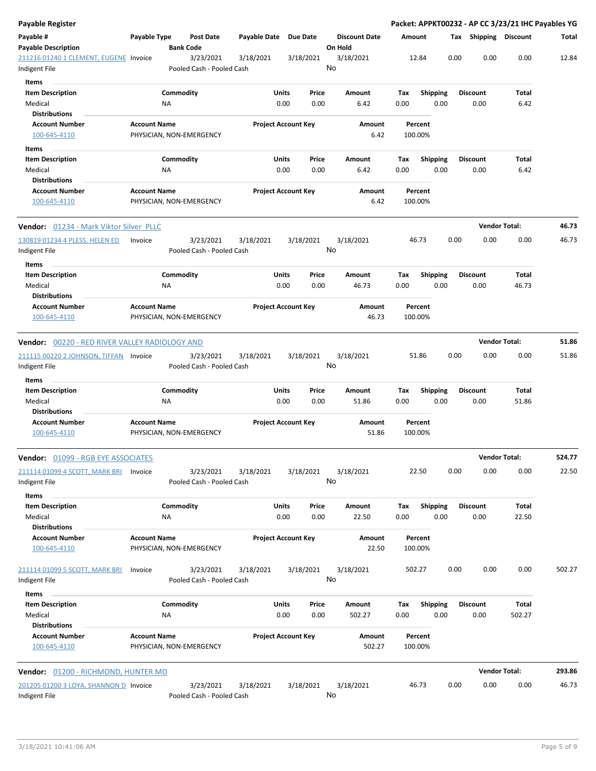| Payable Register                                                    |                     |                                        |              |                            |               |                                 |             |                         |      |                         | Packet: APPKT00232 - AP CC 3/23/21 IHC Payables YG |        |
|---------------------------------------------------------------------|---------------------|----------------------------------------|--------------|----------------------------|---------------|---------------------------------|-------------|-------------------------|------|-------------------------|----------------------------------------------------|--------|
| Payable #<br><b>Payable Description</b>                             | Payable Type        | <b>Post Date</b><br><b>Bank Code</b>   | Payable Date | <b>Due Date</b>            |               | <b>Discount Date</b><br>On Hold | Amount      |                         |      | Tax Shipping Discount   |                                                    | Total  |
| 211216 01240 1 CLEMENT, EUGENE Invoice<br>Indigent File             |                     | 3/23/2021<br>Pooled Cash - Pooled Cash | 3/18/2021    | 3/18/2021                  |               | 3/18/2021<br>No                 |             | 12.84                   | 0.00 | 0.00                    | 0.00                                               | 12.84  |
| Items<br><b>Item Description</b><br>Medical                         |                     | Commodity<br><b>NA</b>                 |              | Units<br>0.00              | Price<br>0.00 | Amount<br>6.42                  | Tax<br>0.00 | <b>Shipping</b><br>0.00 |      | <b>Discount</b><br>0.00 | Total<br>6.42                                      |        |
| <b>Distributions</b><br><b>Account Number</b><br>100-645-4110       | <b>Account Name</b> | PHYSICIAN, NON-EMERGENCY               |              | <b>Project Account Key</b> |               | Amount<br>6.42                  |             | Percent<br>100.00%      |      |                         |                                                    |        |
| Items<br><b>Item Description</b>                                    |                     | Commodity                              |              | Units                      | Price         | Amount                          | Tax         | <b>Shipping</b>         |      | <b>Discount</b>         | Total                                              |        |
| Medical<br><b>Distributions</b>                                     |                     | ΝA                                     |              | 0.00                       | 0.00          | 6.42                            | 0.00        | 0.00                    |      | 0.00                    | 6.42                                               |        |
| <b>Account Number</b><br>100-645-4110                               | <b>Account Name</b> | PHYSICIAN, NON-EMERGENCY               |              | <b>Project Account Key</b> |               | Amount<br>6.42                  |             | Percent<br>100.00%      |      |                         |                                                    |        |
| Vendor: 01234 - Mark Viktor Silver PLLC                             |                     |                                        |              |                            |               |                                 |             |                         |      |                         | <b>Vendor Total:</b>                               | 46.73  |
| 130819 01234 4 PLESS, HELEN ED<br>Indigent File                     | Invoice             | 3/23/2021<br>Pooled Cash - Pooled Cash | 3/18/2021    | 3/18/2021                  |               | 3/18/2021<br>No                 |             | 46.73                   | 0.00 | 0.00                    | 0.00                                               | 46.73  |
| Items<br><b>Item Description</b><br>Medical<br><b>Distributions</b> |                     | Commodity<br><b>NA</b>                 |              | Units<br>0.00              | Price<br>0.00 | Amount<br>46.73                 | Тах<br>0.00 | <b>Shipping</b><br>0.00 |      | <b>Discount</b><br>0.00 | Total<br>46.73                                     |        |
| <b>Account Number</b><br>100-645-4110                               | <b>Account Name</b> | PHYSICIAN, NON-EMERGENCY               |              | <b>Project Account Key</b> |               | Amount<br>46.73                 |             | Percent<br>100.00%      |      |                         |                                                    |        |
| <b>Vendor:</b> 00220 - RED RIVER VALLEY RADIOLOGY AND               |                     |                                        |              |                            |               |                                 |             |                         |      |                         | <b>Vendor Total:</b>                               | 51.86  |
| 211115 00220 2 JOHNSON, TIFFAN Invoice<br>Indigent File             |                     | 3/23/2021<br>Pooled Cash - Pooled Cash | 3/18/2021    | 3/18/2021                  |               | 3/18/2021<br>No                 |             | 51.86                   | 0.00 | 0.00                    | 0.00                                               | 51.86  |
| <b>Items</b>                                                        |                     |                                        |              |                            |               |                                 |             |                         |      |                         |                                                    |        |
| <b>Item Description</b><br>Medical<br><b>Distributions</b>          |                     | Commodity<br><b>NA</b>                 |              | Units<br>0.00              | Price<br>0.00 | Amount<br>51.86                 | Tax<br>0.00 | <b>Shipping</b><br>0.00 |      | <b>Discount</b><br>0.00 | Total<br>51.86                                     |        |
| <b>Account Number</b><br>100-645-4110                               | <b>Account Name</b> | PHYSICIAN, NON-EMERGENCY               |              | <b>Project Account Key</b> |               | Amount<br>51.86                 |             | Percent<br>100.00%      |      |                         |                                                    |        |
| <b>Vendor:</b> <u>01099 - RGB EYE ASSOCIATES</u>                    |                     |                                        |              |                            |               |                                 |             |                         |      |                         | <b>Vendor Total:</b>                               | 524.77 |
| 211114 01099 4 SCOTT, MARK BRI<br>Indigent File                     | Invoice             | 3/23/2021<br>Pooled Cash - Pooled Cash | 3/18/2021    | 3/18/2021                  |               | 3/18/2021<br>No                 |             | 22.50                   | 0.00 | 0.00                    | 0.00                                               | 22.50  |
| Items<br><b>Item Description</b><br>Medical<br><b>Distributions</b> |                     | Commodity<br><b>NA</b>                 |              | Units<br>0.00              | Price<br>0.00 | Amount<br>22.50                 | Tax<br>0.00 | <b>Shipping</b><br>0.00 |      | <b>Discount</b><br>0.00 | Total<br>22.50                                     |        |
| <b>Account Number</b><br>100-645-4110                               | <b>Account Name</b> | PHYSICIAN, NON-EMERGENCY               |              | <b>Project Account Key</b> |               | Amount<br>22.50                 |             | Percent<br>100.00%      |      |                         |                                                    |        |
| 211114 01099 5 SCOTT, MARK BRI<br>Indigent File                     | Invoice             | 3/23/2021<br>Pooled Cash - Pooled Cash | 3/18/2021    | 3/18/2021                  |               | 3/18/2021<br>No                 |             | 502.27                  | 0.00 | 0.00                    | 0.00                                               | 502.27 |
| Items<br><b>Item Description</b><br>Medical                         |                     | Commodity<br>ΝA                        |              | Units<br>0.00              | Price<br>0.00 | Amount<br>502.27                | Tax<br>0.00 | <b>Shipping</b><br>0.00 |      | <b>Discount</b><br>0.00 | Total<br>502.27                                    |        |
| <b>Distributions</b><br><b>Account Number</b><br>100-645-4110       | <b>Account Name</b> | PHYSICIAN, NON-EMERGENCY               |              | <b>Project Account Key</b> |               | Amount<br>502.27                |             | Percent<br>100.00%      |      |                         |                                                    |        |
| <b>Vendor:</b> 01200 - RICHMOND, HUNTER MD                          |                     |                                        |              |                            |               |                                 |             |                         |      |                         | <b>Vendor Total:</b>                               | 293.86 |
| 201205 01200 3 LOYA, SHANNON D Invoice<br>Indigent File             |                     | 3/23/2021<br>Pooled Cash - Pooled Cash | 3/18/2021    | 3/18/2021                  |               | 3/18/2021<br>No                 |             | 46.73                   | 0.00 | 0.00                    | 0.00                                               | 46.73  |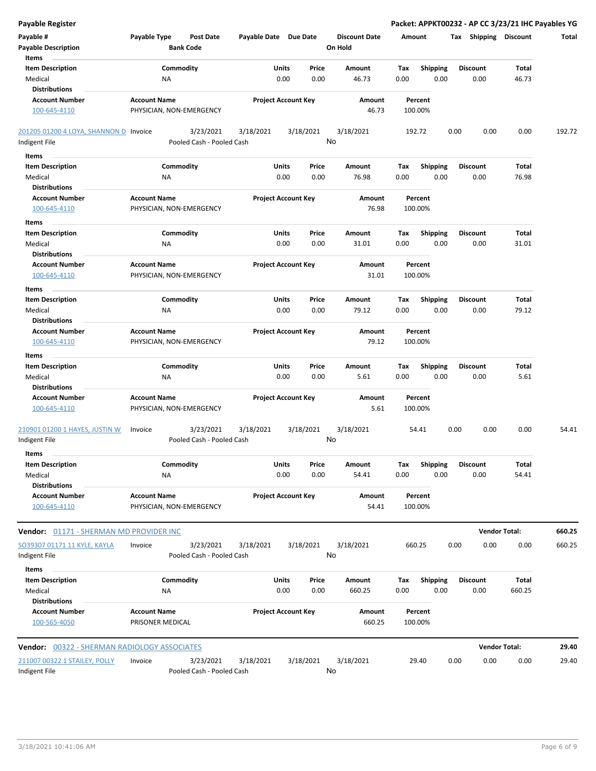| <b>Payable Register</b>                             |                                                   |                            |       |                      | Packet: APPKT00232 - AP CC 3/23/21 IHC Payables YG |      |                       |                      |        |
|-----------------------------------------------------|---------------------------------------------------|----------------------------|-------|----------------------|----------------------------------------------------|------|-----------------------|----------------------|--------|
| Payable #                                           | Payable Type<br><b>Post Date</b>                  | Payable Date Due Date      |       | <b>Discount Date</b> | Amount                                             |      | Tax Shipping Discount |                      | Total  |
| <b>Payable Description</b>                          | <b>Bank Code</b>                                  |                            |       | On Hold              |                                                    |      |                       |                      |        |
| Items                                               |                                                   |                            |       |                      |                                                    |      |                       |                      |        |
| <b>Item Description</b>                             | Commodity                                         | Units                      | Price | Amount               | Tax<br><b>Shipping</b>                             |      | <b>Discount</b>       | Total                |        |
| Medical                                             | <b>NA</b>                                         | 0.00                       | 0.00  | 46.73                | 0.00<br>0.00                                       |      | 0.00                  | 46.73                |        |
| <b>Distributions</b>                                |                                                   |                            |       |                      |                                                    |      |                       |                      |        |
| <b>Account Number</b>                               | <b>Account Name</b>                               | <b>Project Account Key</b> |       | Amount               | Percent                                            |      |                       |                      |        |
| 100-645-4110                                        | PHYSICIAN, NON-EMERGENCY                          |                            |       | 46.73                | 100.00%                                            |      |                       |                      |        |
| 201205 01200 4 LOYA, SHANNON D Invoice              | 3/23/2021                                         | 3/18/2021<br>3/18/2021     |       | 3/18/2021            | 192.72                                             | 0.00 | 0.00                  | 0.00                 | 192.72 |
| Indigent File                                       | Pooled Cash - Pooled Cash                         |                            | No    |                      |                                                    |      |                       |                      |        |
| Items                                               |                                                   |                            |       |                      |                                                    |      |                       |                      |        |
| <b>Item Description</b>                             | Commodity                                         | Units                      | Price | Amount               | <b>Shipping</b><br>Tax                             |      | <b>Discount</b>       | Total                |        |
| Medical                                             | ΝA                                                | 0.00                       | 0.00  | 76.98                | 0.00<br>0.00                                       |      | 0.00                  | 76.98                |        |
| <b>Distributions</b>                                |                                                   |                            |       |                      |                                                    |      |                       |                      |        |
| <b>Account Number</b>                               | <b>Account Name</b>                               | <b>Project Account Key</b> |       | Amount               | Percent                                            |      |                       |                      |        |
| 100-645-4110                                        | PHYSICIAN, NON-EMERGENCY                          |                            |       | 76.98                | 100.00%                                            |      |                       |                      |        |
| Items                                               |                                                   |                            |       |                      |                                                    |      |                       |                      |        |
| <b>Item Description</b>                             | Commodity                                         | Units                      | Price | Amount               | Tax<br><b>Shipping</b>                             |      | <b>Discount</b>       | Total                |        |
| Medical                                             | <b>NA</b>                                         | 0.00                       | 0.00  | 31.01                | 0.00<br>0.00                                       |      | 0.00                  | 31.01                |        |
| <b>Distributions</b>                                |                                                   |                            |       |                      |                                                    |      |                       |                      |        |
| <b>Account Number</b>                               | <b>Account Name</b>                               | <b>Project Account Key</b> |       | Amount               | Percent                                            |      |                       |                      |        |
| 100-645-4110                                        | PHYSICIAN, NON-EMERGENCY                          |                            |       | 31.01                | 100.00%                                            |      |                       |                      |        |
| Items                                               |                                                   |                            |       |                      |                                                    |      |                       |                      |        |
| <b>Item Description</b>                             | Commodity                                         | Units                      | Price | Amount               | Tax<br><b>Shipping</b>                             |      | <b>Discount</b>       | Total                |        |
| Medical                                             | <b>NA</b>                                         | 0.00                       | 0.00  | 79.12                | 0.00<br>0.00                                       |      | 0.00                  | 79.12                |        |
| <b>Distributions</b>                                |                                                   |                            |       |                      |                                                    |      |                       |                      |        |
| <b>Account Number</b>                               | <b>Account Name</b>                               | <b>Project Account Key</b> |       | Amount               | Percent                                            |      |                       |                      |        |
| 100-645-4110                                        | PHYSICIAN, NON-EMERGENCY                          |                            |       | 79.12                | 100.00%                                            |      |                       |                      |        |
| Items                                               |                                                   |                            |       |                      |                                                    |      |                       |                      |        |
| <b>Item Description</b>                             | Commodity                                         | Units                      | Price | Amount               | <b>Shipping</b><br>Тах                             |      | <b>Discount</b>       | Total                |        |
| Medical                                             | NA                                                | 0.00                       | 0.00  | 5.61                 | 0.00<br>0.00                                       |      | 0.00                  | 5.61                 |        |
| <b>Distributions</b>                                |                                                   |                            |       |                      |                                                    |      |                       |                      |        |
| <b>Account Number</b>                               | <b>Account Name</b>                               | <b>Project Account Key</b> |       | Amount               | Percent                                            |      |                       |                      |        |
| 100-645-4110                                        | PHYSICIAN, NON-EMERGENCY                          |                            |       | 5.61                 | 100.00%                                            |      |                       |                      |        |
| 210901 01200 1 HAYES, JUSTIN W                      | 3/23/2021<br>Invoice                              | 3/18/2021<br>3/18/2021     |       | 3/18/2021            | 54.41                                              | 0.00 | 0.00                  | 0.00                 | 54.41  |
| Indigent File                                       | Pooled Cash - Pooled Cash                         |                            | No    |                      |                                                    |      |                       |                      |        |
| Items                                               |                                                   |                            |       |                      |                                                    |      |                       |                      |        |
| <b>Item Description</b>                             | Commodity                                         | Units                      | Price | Amount               | Shipping<br>Tax                                    |      | <b>Discount</b>       | Total                |        |
| Medical                                             | ΝA                                                | 0.00                       | 0.00  | 54.41                | 0.00<br>0.00                                       |      | 0.00                  | 54.41                |        |
| <b>Distributions</b>                                |                                                   |                            |       |                      |                                                    |      |                       |                      |        |
| <b>Account Number</b>                               | <b>Account Name</b>                               | <b>Project Account Key</b> |       | Amount               | Percent                                            |      |                       |                      |        |
| 100-645-4110                                        | PHYSICIAN, NON-EMERGENCY                          |                            |       | 54.41                | 100.00%                                            |      |                       |                      |        |
| Vendor: 01171 - SHERMAN MD PROVIDER INC             |                                                   |                            |       |                      |                                                    |      |                       | <b>Vendor Total:</b> | 660.25 |
|                                                     |                                                   |                            |       |                      |                                                    |      |                       |                      |        |
| SO39307 01171 11 KYLE, KAYLA<br>Indigent File       | Invoice<br>3/23/2021<br>Pooled Cash - Pooled Cash | 3/18/2021<br>3/18/2021     | No    | 3/18/2021            | 660.25                                             | 0.00 | 0.00                  | 0.00                 | 660.25 |
|                                                     |                                                   |                            |       |                      |                                                    |      |                       |                      |        |
| Items                                               |                                                   |                            |       |                      |                                                    |      |                       |                      |        |
| <b>Item Description</b>                             | Commodity                                         | Units                      | Price | Amount               | Shipping<br>Tax                                    |      | <b>Discount</b>       | Total                |        |
| Medical<br><b>Distributions</b>                     | NA                                                | 0.00                       | 0.00  | 660.25               | 0.00<br>0.00                                       |      | 0.00                  | 660.25               |        |
| <b>Account Number</b>                               | <b>Account Name</b>                               | <b>Project Account Key</b> |       | Amount               | Percent                                            |      |                       |                      |        |
| 100-565-4050                                        | PRISONER MEDICAL                                  |                            |       | 660.25               | 100.00%                                            |      |                       |                      |        |
|                                                     |                                                   |                            |       |                      |                                                    |      |                       |                      |        |
| <b>Vendor: 00322 - SHERMAN RADIOLOGY ASSOCIATES</b> |                                                   |                            |       |                      |                                                    |      |                       | <b>Vendor Total:</b> | 29.40  |
| 211007 00322 1 STAILEY, POLLY                       | 3/23/2021<br>Invoice                              | 3/18/2021<br>3/18/2021     |       | 3/18/2021            | 29.40                                              | 0.00 | 0.00                  | 0.00                 | 29.40  |
| Indigent File                                       | Pooled Cash - Pooled Cash                         |                            | No    |                      |                                                    |      |                       |                      |        |
|                                                     |                                                   |                            |       |                      |                                                    |      |                       |                      |        |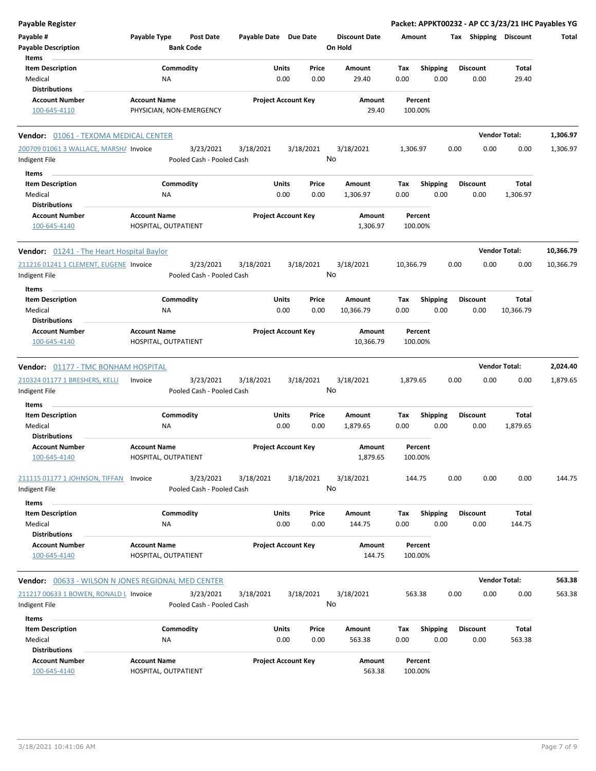| <b>Payable Register</b>                            |                                             |                            |           |                      | Packet: APPKT00232 - AP CC 3/23/21 IHC Payables YG |                       |                      |           |
|----------------------------------------------------|---------------------------------------------|----------------------------|-----------|----------------------|----------------------------------------------------|-----------------------|----------------------|-----------|
| Payable #                                          | Payable Type<br><b>Post Date</b>            | Payable Date Due Date      |           | <b>Discount Date</b> | Amount                                             | Tax Shipping Discount |                      | Total     |
| <b>Payable Description</b>                         | <b>Bank Code</b>                            |                            |           | On Hold              |                                                    |                       |                      |           |
| Items                                              |                                             |                            |           |                      |                                                    |                       |                      |           |
| <b>Item Description</b>                            | Commodity                                   | Units                      | Price     | Amount               | <b>Shipping</b><br>Tax                             | <b>Discount</b>       | Total                |           |
| Medical                                            | <b>NA</b>                                   | 0.00                       | 0.00      | 29.40                | 0.00<br>0.00                                       | 0.00                  | 29.40                |           |
| <b>Distributions</b>                               |                                             |                            |           |                      |                                                    |                       |                      |           |
|                                                    |                                             |                            |           |                      |                                                    |                       |                      |           |
| <b>Account Number</b>                              | <b>Account Name</b>                         | <b>Project Account Key</b> |           | Amount               | Percent                                            |                       |                      |           |
| 100-645-4110                                       | PHYSICIAN, NON-EMERGENCY                    |                            |           | 29.40                | 100.00%                                            |                       |                      |           |
| Vendor: 01061 - TEXOMA MEDICAL CENTER              |                                             |                            |           |                      |                                                    |                       | <b>Vendor Total:</b> | 1,306.97  |
| 200709 01061 3 WALLACE, MARSH/ Invoice             | 3/23/2021                                   | 3/18/2021                  | 3/18/2021 | 3/18/2021            | 1,306.97                                           | 0.00<br>0.00          | 0.00                 | 1,306.97  |
| Indigent File                                      | Pooled Cash - Pooled Cash                   |                            |           | No                   |                                                    |                       |                      |           |
| Items                                              |                                             |                            |           |                      |                                                    |                       |                      |           |
|                                                    |                                             |                            |           |                      |                                                    |                       |                      |           |
| <b>Item Description</b>                            | Commodity                                   | Units                      | Price     | Amount               | <b>Shipping</b><br>Tax                             | <b>Discount</b>       | Total                |           |
| Medical                                            | ΝA                                          | 0.00                       | 0.00      | 1,306.97             | 0.00<br>0.00                                       | 0.00                  | 1,306.97             |           |
| <b>Distributions</b>                               |                                             |                            |           |                      |                                                    |                       |                      |           |
| <b>Account Number</b><br>100-645-4140              | <b>Account Name</b><br>HOSPITAL, OUTPATIENT | <b>Project Account Key</b> |           | Amount<br>1,306.97   | Percent<br>100.00%                                 |                       |                      |           |
|                                                    |                                             |                            |           |                      |                                                    |                       |                      |           |
| <b>Vendor:</b> 01241 - The Heart Hospital Baylor   |                                             |                            |           |                      |                                                    |                       | <b>Vendor Total:</b> | 10,366.79 |
| 211216 01241 1 CLEMENT, EUGENE Invoice             | 3/23/2021                                   | 3/18/2021                  | 3/18/2021 | 3/18/2021            | 10,366.79                                          | 0.00<br>0.00          | 0.00                 | 10,366.79 |
| Indigent File                                      | Pooled Cash - Pooled Cash                   |                            |           | No                   |                                                    |                       |                      |           |
| Items                                              |                                             |                            |           |                      |                                                    |                       |                      |           |
| <b>Item Description</b>                            | Commodity                                   | Units                      | Price     | Amount               | <b>Shipping</b><br>Tax                             | <b>Discount</b>       | Total                |           |
| Medical                                            | ΝA                                          | 0.00                       | 0.00      | 10,366.79            | 0.00<br>0.00                                       | 0.00                  | 10,366.79            |           |
| Distributions                                      |                                             |                            |           |                      |                                                    |                       |                      |           |
| <b>Account Number</b>                              | <b>Account Name</b>                         | <b>Project Account Key</b> |           | Amount               | Percent                                            |                       |                      |           |
| 100-645-4140                                       | HOSPITAL, OUTPATIENT                        |                            |           | 10,366.79            | 100.00%                                            |                       |                      |           |
|                                                    |                                             |                            |           |                      |                                                    |                       |                      |           |
| <b>Vendor: 01177 - TMC BONHAM HOSPITAL</b>         |                                             |                            |           |                      |                                                    |                       | <b>Vendor Total:</b> | 2,024.40  |
| 210324 01177 1 BRESHERS, KELLI                     | 3/23/2021<br>Invoice                        | 3/18/2021                  | 3/18/2021 | 3/18/2021            | 1,879.65                                           | 0.00<br>0.00          | 0.00                 | 1,879.65  |
| Indigent File                                      | Pooled Cash - Pooled Cash                   |                            |           | No                   |                                                    |                       |                      |           |
|                                                    |                                             |                            |           |                      |                                                    |                       |                      |           |
| Items                                              |                                             |                            |           |                      |                                                    |                       |                      |           |
| <b>Item Description</b>                            | Commodity                                   | Units                      | Price     | Amount               | <b>Shipping</b><br>Tax                             | <b>Discount</b>       | Total                |           |
| Medical                                            | <b>NA</b>                                   | 0.00                       | 0.00      | 1,879.65             | 0.00<br>0.00                                       | 0.00                  | 1,879.65             |           |
| Distributions                                      |                                             |                            |           |                      |                                                    |                       |                      |           |
| Account Number                                     | <b>Account Name</b>                         | <b>Project Account Key</b> |           | Amount               | Percent                                            |                       |                      |           |
| 100-645-4140                                       | HOSPITAL, OUTPATIENT                        |                            |           | 1,879.65             | 100.00%                                            |                       |                      |           |
|                                                    |                                             |                            |           |                      |                                                    |                       |                      |           |
| 211115 01177 1 JOHNSON, TIFFAN Invoice             | 3/23/2021                                   | 3/18/2021                  | 3/18/2021 | 3/18/2021            | 144.75                                             | 0.00<br>0.00          | 0.00                 | 144.75    |
| Indigent File                                      | Pooled Cash - Pooled Cash                   |                            |           | No                   |                                                    |                       |                      |           |
| Items                                              |                                             |                            |           |                      |                                                    |                       |                      |           |
| <b>Item Description</b>                            | Commodity                                   | Units                      | Price     | Amount               | <b>Shipping</b><br>Tax                             | <b>Discount</b>       | Total                |           |
| Medical                                            | NA                                          | 0.00                       | 0.00      | 144.75               | 0.00<br>0.00                                       | 0.00                  | 144.75               |           |
| <b>Distributions</b>                               |                                             |                            |           |                      |                                                    |                       |                      |           |
| <b>Account Number</b>                              | <b>Account Name</b>                         | <b>Project Account Key</b> |           | Amount               | Percent                                            |                       |                      |           |
| 100-645-4140                                       | HOSPITAL, OUTPATIENT                        |                            |           | 144.75               | 100.00%                                            |                       |                      |           |
|                                                    |                                             |                            |           |                      |                                                    |                       |                      |           |
| Vendor: 00633 - WILSON N JONES REGIONAL MED CENTER |                                             |                            |           |                      |                                                    |                       | <b>Vendor Total:</b> | 563.38    |
| 211217 00633 1 BOWEN, RONALD L Invoice             | 3/23/2021                                   | 3/18/2021                  | 3/18/2021 | 3/18/2021            | 563.38                                             | 0.00<br>0.00          | 0.00                 | 563.38    |
| Indigent File                                      | Pooled Cash - Pooled Cash                   |                            |           | No                   |                                                    |                       |                      |           |
|                                                    |                                             |                            |           |                      |                                                    |                       |                      |           |
| Items                                              |                                             |                            |           |                      |                                                    |                       |                      |           |
| <b>Item Description</b>                            | Commodity                                   | Units                      | Price     | Amount               | Tax<br><b>Shipping</b>                             | <b>Discount</b>       | Total                |           |
| Medical                                            | NA                                          | 0.00                       | 0.00      | 563.38               | 0.00<br>0.00                                       | 0.00                  | 563.38               |           |
| <b>Distributions</b>                               |                                             |                            |           |                      |                                                    |                       |                      |           |
| <b>Account Number</b>                              | <b>Account Name</b>                         | <b>Project Account Key</b> |           | Amount               | Percent                                            |                       |                      |           |
| 100-645-4140                                       | HOSPITAL, OUTPATIENT                        |                            |           | 563.38               | 100.00%                                            |                       |                      |           |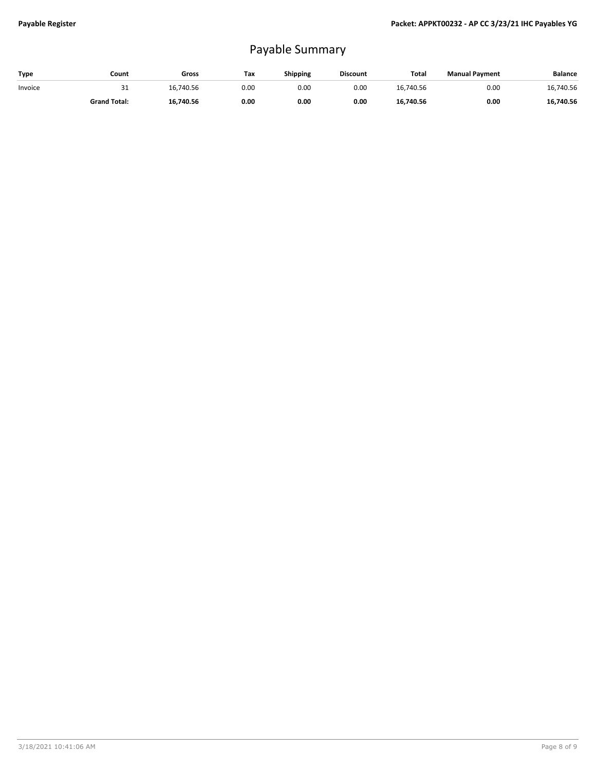## Payable Summary

| Type    | Count               | Gross     | Tax  | <b>Shipping</b> | <b>Discount</b> | Total     | <b>Manual Payment</b> | <b>Balance</b> |
|---------|---------------------|-----------|------|-----------------|-----------------|-----------|-----------------------|----------------|
| Invoice | ⊥ ب                 | 16.740.56 | 0.00 | 0.00            | 0.00            | 16.740.56 | 0.00                  | 16,740.56      |
|         | <b>Grand Total:</b> | 16,740.56 | 0.00 | 0.00            | 0.00            | 16.740.56 | 0.00                  | 16,740.56      |